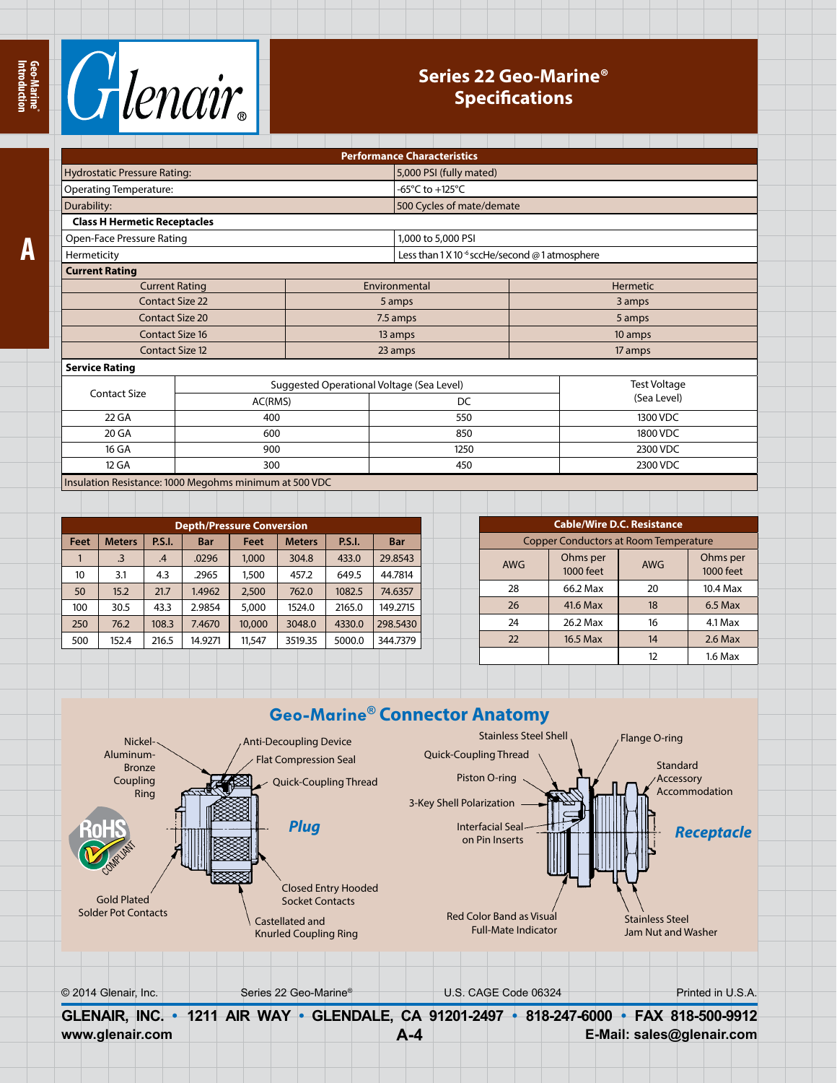**A**



#### **Series 22 Geo-Marine® Specifications**

|                                                        |         |                                           | <b>Performance Characteristics</b>                         |         |                     |  |
|--------------------------------------------------------|---------|-------------------------------------------|------------------------------------------------------------|---------|---------------------|--|
| <b>Hydrostatic Pressure Rating:</b>                    |         |                                           | 5,000 PSI (fully mated)                                    |         |                     |  |
| <b>Operating Temperature:</b>                          |         |                                           | -65°C to +125°C                                            |         |                     |  |
| Durability:                                            |         |                                           | 500 Cycles of mate/demate                                  |         |                     |  |
| <b>Class H Hermetic Receptacles</b>                    |         |                                           |                                                            |         |                     |  |
| Open-Face Pressure Rating                              |         |                                           | 1,000 to 5,000 PSI                                         |         |                     |  |
| Hermeticity                                            |         |                                           | Less than 1 X 10 <sup>-6</sup> sccHe/second @ 1 atmosphere |         |                     |  |
| <b>Current Rating</b>                                  |         |                                           |                                                            |         |                     |  |
| <b>Current Rating</b>                                  |         |                                           | Environmental                                              |         | <b>Hermetic</b>     |  |
| <b>Contact Size 22</b>                                 |         |                                           | 5 amps                                                     | 3 amps  |                     |  |
| <b>Contact Size 20</b>                                 |         |                                           | 7.5 amps                                                   | 5 amps  |                     |  |
| <b>Contact Size 16</b>                                 |         |                                           | 13 amps                                                    | 10 amps |                     |  |
| <b>Contact Size 12</b>                                 |         | 23 amps                                   |                                                            | 17 amps |                     |  |
| <b>Service Rating</b>                                  |         |                                           |                                                            |         |                     |  |
| <b>Contact Size</b>                                    |         | Suggested Operational Voltage (Sea Level) |                                                            |         | <b>Test Voltage</b> |  |
|                                                        | AC(RMS) |                                           | DC                                                         |         | (Sea Level)         |  |
| 22 GA                                                  | 400     |                                           | 550                                                        |         | 1300 VDC            |  |
| 20 GA                                                  | 600     |                                           | 850                                                        |         | 1800 VDC            |  |
| 16 GA                                                  | 900     |                                           | 1250                                                       |         | 2300 VDC            |  |
| 12 GA<br>300                                           |         |                                           | 450                                                        |         | 2300 VDC            |  |
| Insulation Resistance: 1000 Megohms minimum at 500 VDC |         |                                           |                                                            |         |                     |  |

| <b>Depth/Pressure Conversion</b> |                |               |         |        |               |               | <b>Cable/Wire D.C. Resistance</b> |  |                                              |          |           |            |           |
|----------------------------------|----------------|---------------|---------|--------|---------------|---------------|-----------------------------------|--|----------------------------------------------|----------|-----------|------------|-----------|
| Feet                             | <b>Meters</b>  | <b>P.S.I.</b> | Bar     | Feet   | <b>Meters</b> | <b>P.S.I.</b> | <b>Bar</b>                        |  | <b>Copper Conductors at Room Temperature</b> |          |           |            |           |
|                                  | $\overline{3}$ | $\mathcal{A}$ | .0296   | 1,000  | 304.8         | 433.0         | 29.8543                           |  | <b>AWG</b>                                   |          | Ohms per  | <b>AWG</b> | Ohms per  |
| 10                               | 3.1            | 4.3           | .2965   | 1,500  | 457.2         | 649.5         | 44.7814                           |  |                                              |          | 1000 feet |            | 1000 feet |
| 50                               | 15.2           | 21.7          | 1.4962  | 2,500  | 762.0         | 1082.5        | 74.6357                           |  | 28                                           | 66.2 Max | 20        | 10.4 Max   |           |
| 100                              | 30.5           | 43.3          | 2.9854  | 5,000  | 1524.0        | 2165.0        | 149.2715                          |  | 26                                           | 41.6 Max | 18        | $6.5$ Max  |           |
| 250                              | 76.2           | 108.3         | 7.4670  | 10,000 | 3048.0        | 4330.0        | 298.5430                          |  | 24                                           | 26.2 Max | 16        | 4.1 Max    |           |
| 500                              | 152.4          | 216.5         | 14.9271 | 11,547 | 3519.35       | 5000.0        | 344.7379                          |  | 22                                           | 16.5 Max | 14        | $2.6$ Max  |           |
|                                  |                |               |         |        |               |               |                                   |  |                                              |          | 12        | $1.6$ Max  |           |

## **Geo-Marine® Connector Anatomy**